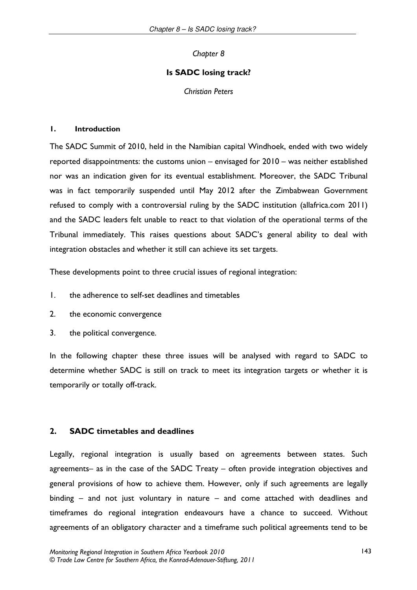Chapter 8

## Is SADC losing track?

**Christian Peters** 

#### $\mathbf{L}$ **Introduction**

The SADC Summit of 2010, held in the Namibian capital Windhoek, ended with two widely reported disappointments: the customs union – envisaged for 2010 – was neither established nor was an indication given for its eventual establishment. Moreover, the SADC Tribunal was in fact temporarily suspended until May 2012 after the Zimbabwean Government refused to comply with a controversial ruling by the SADC institution (allafrica.com 2011) and the SADC leaders felt unable to react to that violation of the operational terms of the Tribunal immediately. This raises questions about SADC's general ability to deal with integration obstacles and whether it still can achieve its set targets.

These developments point to three crucial issues of regional integration:

- $\mathbf{L}$ the adherence to self-set deadlines and timetables
- $2.$ the economic convergence
- $\mathbf{3}$ . the political convergence.

In the following chapter these three issues will be analysed with regard to SADC to determine whether SADC is still on track to meet its integration targets or whether it is temporarily or totally off-track.

#### $2.$ **SADC** timetables and deadlines

Legally, regional integration is usually based on agreements between states. Such agreements- as in the case of the SADC Treaty - often provide integration objectives and general provisions of how to achieve them. However, only if such agreements are legally binding  $-$  and not just voluntary in nature  $-$  and come attached with deadlines and timeframes do regional integration endeavours have a chance to succeed. Without agreements of an obligatory character and a timeframe such political agreements tend to be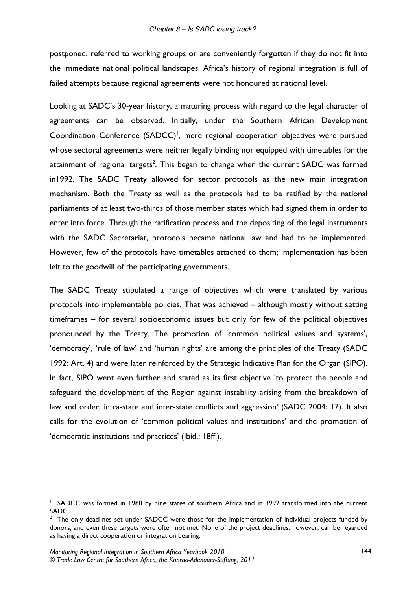postponed, referred to working groups or are conveniently forgotten if they do not fit into the immediate national political landscapes. Africa's history of regional integration is full of failed attempts because regional agreements were not honoured at national level.

Looking at SADC's 30-year history, a maturing process with regard to the legal character of agreements can be observed. Initially, under the Southern African Development Coordination Conference (SADCC)<sup>1</sup>, mere regional cooperation objectives were pursued whose sectoral agreements were neither legally binding nor equipped with timetables for the attainment of regional targets<sup>2</sup>. This began to change when the current SADC was formed in 1992. The SADC Treaty allowed for sector protocols as the new main integration mechanism. Both the Treaty as well as the protocols had to be ratified by the national parliaments of at least two-thirds of those member states which had signed them in order to enter into force. Through the ratification process and the depositing of the legal instruments with the SADC Secretariat, protocols became national law and had to be implemented. However, few of the protocols have timetables attached to them; implementation has been left to the goodwill of the participating governments.

The SADC Treaty stipulated a range of objectives which were translated by various protocols into implementable policies. That was achieved – although mostly without setting timeframes - for several socioeconomic issues but only for few of the political objectives pronounced by the Treaty. The promotion of 'common political values and systems', 'democracy', 'rule of law' and 'human rights' are among the principles of the Treaty (SADC 1992: Art. 4) and were later reinforced by the Strategic Indicative Plan for the Organ (SIPO). In fact, SIPO went even further and stated as its first objective 'to protect the people and safeguard the development of the Region against instability arising from the breakdown of law and order, intra-state and inter-state conflicts and aggression' (SADC 2004: 17). It also calls for the evolution of 'common political values and institutions' and the promotion of 'democratic institutions and practices' (Ibid.: 18ff.).

SADCC was formed in 1980 by nine states of southern Africa and in 1992 transformed into the current SADC.

The only deadlines set under SADCC were those for the implementation of individual projects funded by donors, and even these targets were often not met. None of the project deadlines, however, can be regarded as having a direct cooperation or integration bearing.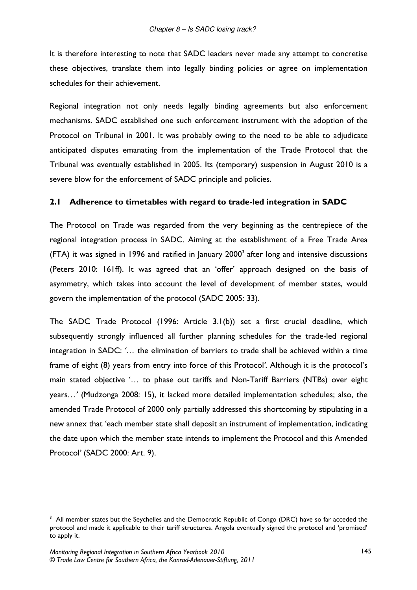It is therefore interesting to note that SADC leaders never made any attempt to concretise these objectives, translate them into legally binding policies or agree on implementation schedules for their achievement.

Regional integration not only needs legally binding agreements but also enforcement mechanisms. SADC established one such enforcement instrument with the adoption of the Protocol on Tribunal in 2001. It was probably owing to the need to be able to adjudicate anticipated disputes emanating from the implementation of the Trade Protocol that the Tribunal was eventually established in 2005. Its (temporary) suspension in August 2010 is a severe blow for the enforcement of SADC principle and policies.

#### $2.1$ Adherence to timetables with regard to trade-led integration in SADC

The Protocol on Trade was regarded from the very beginning as the centrepiece of the regional integration process in SADC. Aiming at the establishment of a Free Trade Area (FTA) it was signed in 1996 and ratified in January 2000<sup>3</sup> after long and intensive discussions (Peters 2010: 161ff). It was agreed that an 'offer' approach designed on the basis of asymmetry, which takes into account the level of development of member states, would govern the implementation of the protocol (SADC 2005: 33).

The SADC Trade Protocol (1996: Article 3.1(b)) set a first crucial deadline, which subsequently strongly influenced all further planning schedules for the trade-led regional integration in SADC: '... the elimination of barriers to trade shall be achieved within a time frame of eight (8) years from entry into force of this Protocol'. Although it is the protocol's main stated objective '... to phase out tariffs and Non-Tariff Barriers (NTBs) over eight years...' (Mudzonga 2008: 15), it lacked more detailed implementation schedules; also, the amended Trade Protocol of 2000 only partially addressed this shortcoming by stipulating in a new annex that 'each member state shall deposit an instrument of implementation, indicating the date upon which the member state intends to implement the Protocol and this Amended Protocol' (SADC 2000: Art. 9).

<sup>&</sup>lt;sup>3</sup> All member states but the Seychelles and the Democratic Republic of Congo (DRC) have so far acceded the protocol and made it applicable to their tariff structures. Angola eventually signed the protocol and 'promised' to apply it.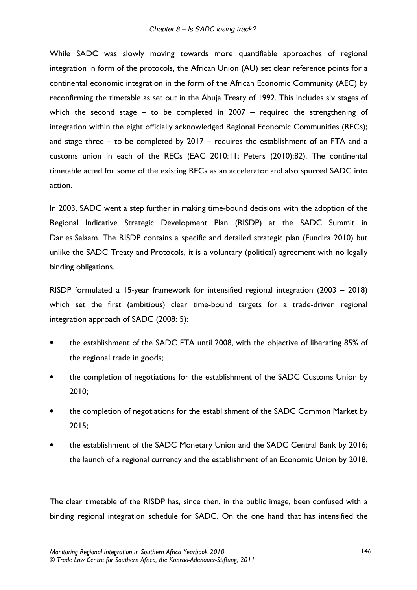While SADC was slowly moving towards more quantifiable approaches of regional integration in form of the protocols, the African Union (AU) set clear reference points for a continental economic integration in the form of the African Economic Community (AEC) by reconfirming the timetable as set out in the Abuja Treaty of 1992. This includes six stages of which the second stage  $-$  to be completed in 2007  $-$  required the strengthening of integration within the eight officially acknowledged Regional Economic Communities (RECs); and stage three  $-$  to be completed by 2017  $-$  requires the establishment of an FTA and a customs union in each of the RECs (EAC 2010:11; Peters (2010):82). The continental timetable acted for some of the existing RECs as an accelerator and also spurred SADC into action.

In 2003, SADC went a step further in making time-bound decisions with the adoption of the Regional Indicative Strategic Development Plan (RISDP) at the SADC Summit in Dar es Salaam. The RISDP contains a specific and detailed strategic plan (Fundira 2010) but unlike the SADC Treaty and Protocols, it is a voluntary (political) agreement with no legally binding obligations.

RISDP formulated a 15-year framework for intensified regional integration (2003 – 2018) which set the first (ambitious) clear time-bound targets for a trade-driven regional integration approach of SADC (2008: 5):

- the establishment of the SADC FTA until 2008, with the objective of liberating 85% of the regional trade in goods;
- the completion of negotiations for the establishment of the SADC Customs Union by  $\bullet$  $2010;$
- the completion of negotiations for the establishment of the SADC Common Market by  $2015;$
- the establishment of the SADC Monetary Union and the SADC Central Bank by 2016; the launch of a regional currency and the establishment of an Economic Union by 2018.

The clear timetable of the RISDP has, since then, in the public image, been confused with a binding regional integration schedule for SADC. On the one hand that has intensified the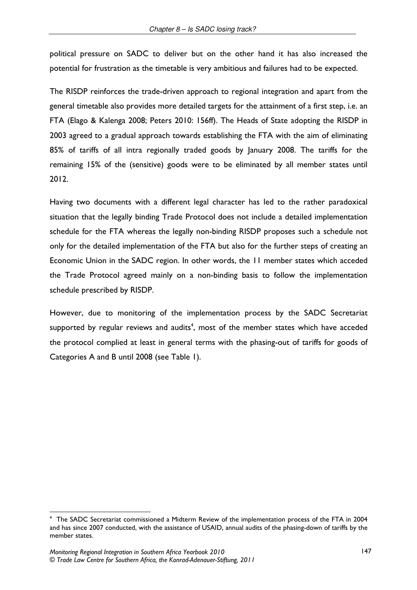political pressure on SADC to deliver but on the other hand it has also increased the potential for frustration as the timetable is very ambitious and failures had to be expected.

The RISDP reinforces the trade-driven approach to regional integration and apart from the general timetable also provides more detailed targets for the attainment of a first step, i.e. an FTA (Elago & Kalenga 2008; Peters 2010: 156ff). The Heads of State adopting the RISDP in 2003 agreed to a gradual approach towards establishing the FTA with the aim of eliminating 85% of tariffs of all intra regionally traded goods by January 2008. The tariffs for the remaining 15% of the (sensitive) goods were to be eliminated by all member states until 2012.

Having two documents with a different legal character has led to the rather paradoxical situation that the legally binding Trade Protocol does not include a detailed implementation schedule for the FTA whereas the legally non-binding RISDP proposes such a schedule not only for the detailed implementation of the FTA but also for the further steps of creating an Economic Union in the SADC region. In other words, the 11 member states which acceded the Trade Protocol agreed mainly on a non-binding basis to follow the implementation schedule prescribed by RISDP.

However, due to monitoring of the implementation process by the SADC Secretariat supported by regular reviews and audits<sup>4</sup>, most of the member states which have acceded the protocol complied at least in general terms with the phasing-out of tariffs for goods of Categories A and B until 2008 (see Table 1).

The SADC Secretariat commissioned a Midterm Review of the implementation process of the FTA in 2004 and has since 2007 conducted, with the assistance of USAID, annual audits of the phasing-down of tariffs by the member states.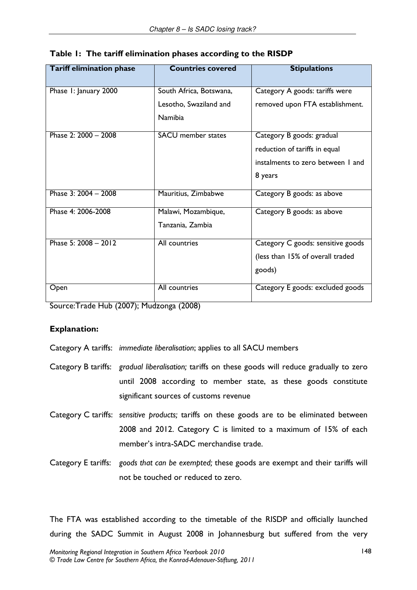| <b>Tariff elimination phase</b> | <b>Countries covered</b>  | <b>Stipulations</b>               |
|---------------------------------|---------------------------|-----------------------------------|
| Phase I: January 2000           | South Africa, Botswana,   | Category A goods: tariffs were    |
|                                 | Lesotho, Swaziland and    | removed upon FTA establishment.   |
|                                 | <b>Namibia</b>            |                                   |
| Phase 2: 2000 - 2008            | <b>SACU</b> member states | Category B goods: gradual         |
|                                 |                           | reduction of tariffs in equal     |
|                                 |                           | instalments to zero between 1 and |
|                                 |                           | 8 years                           |
| Phase 3: 2004 - 2008            | Mauritius, Zimbabwe       | Category B goods: as above        |
| Phase 4: 2006-2008              | Malawi, Mozambique,       | Category B goods: as above        |
|                                 | Tanzania, Zambia          |                                   |
| Phase 5: 2008 - 2012            | All countries             | Category C goods: sensitive goods |
|                                 |                           | (less than 15% of overall traded  |
|                                 |                           | goods)                            |
| Open                            | All countries             | Category E goods: excluded goods  |

|  |  | Table 1: The tariff elimination phases according to the RISDP |  |  |  |  |
|--|--|---------------------------------------------------------------|--|--|--|--|
|--|--|---------------------------------------------------------------|--|--|--|--|

Source: Trade Hub (2007); Mudzonga (2008)

# **Explanation:**

- Category A tariffs: immediate liberalisation; applies to all SACU members
- Category B tariffs: gradual liberalisation; tariffs on these goods will reduce gradually to zero until 2008 according to member state, as these goods constitute significant sources of customs revenue
- Category C tariffs: sensitive products; tariffs on these goods are to be eliminated between 2008 and 2012. Category C is limited to a maximum of 15% of each member's intra-SADC merchandise trade.
- Category E tariffs: goods that can be exempted; these goods are exempt and their tariffs will not be touched or reduced to zero.

The FTA was established according to the timetable of the RISDP and officially launched during the SADC Summit in August 2008 in Johannesburg but suffered from the very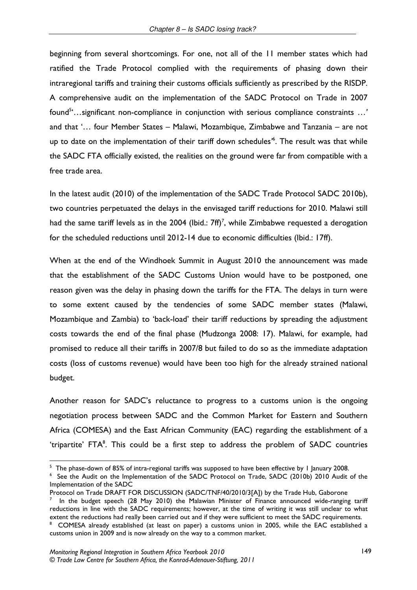beginning from several shortcomings. For one, not all of the 11 member states which had ratified the Trade Protocol complied with the requirements of phasing down their intraregional tariffs and training their customs officials sufficiently as prescribed by the RISDP. A comprehensive audit on the implementation of the SADC Protocol on Trade in 2007 found<sup>5</sup>...significant non-compliance in conjunction with serious compliance constraints ...' and that '... four Member States - Malawi, Mozambique, Zimbabwe and Tanzania - are not up to date on the implementation of their tariff down schedules<sup>\*</sup>. The result was that while the SADC FTA officially existed, the realities on the ground were far from compatible with a free trade area.

In the latest audit (2010) of the implementation of the SADC Trade Protocol SADC 2010b), two countries perpetuated the delays in the envisaged tariff reductions for 2010. Malawi still had the same tariff levels as in the 2004 (Ibid.:  $7ff$ )<sup>7</sup>, while Zimbabwe requested a derogation for the scheduled reductions until 2012-14 due to economic difficulties (Ibid.: 17ff).

When at the end of the Windhoek Summit in August 2010 the announcement was made that the establishment of the SADC Customs Union would have to be postponed, one reason given was the delay in phasing down the tariffs for the FTA. The delays in turn were to some extent caused by the tendencies of some SADC member states (Malawi, Mozambique and Zambia) to 'back-load' their tariff reductions by spreading the adjustment costs towards the end of the final phase (Mudzonga 2008: 17). Malawi, for example, had promised to reduce all their tariffs in 2007/8 but failed to do so as the immediate adaptation costs (loss of customs revenue) would have been too high for the already strained national budget.

Another reason for SADC's reluctance to progress to a customs union is the ongoing negotiation process between SADC and the Common Market for Eastern and Southern Africa (COMESA) and the East African Community (EAC) regarding the establishment of a 'tripartite' FTA<sup>8</sup>. This could be a first step to address the problem of SADC countries

In the budget speech (28 May 2010) the Malawian Minister of Finance announced wide-ranging tariff reductions in line with the SADC requirements; however, at the time of writing it was still unclear to what extent the reductions had really been carried out and if they were sufficient to meet the SADC requirements.

 $5$  The phase-down of 85% of intra-regional tariffs was supposed to have been effective by 1 January 2008.

See the Audit on the Implementation of the SADC Protocol on Trade, SADC (2010b) 2010 Audit of the Implementation of the SADC

Protocol on Trade DRAFT FOR DISCUSSION (SADC/TNF/40/2010/3[A]) by the Trade Hub, Gaborone

COMESA already established (at least on paper) a customs union in 2005, while the EAC established a customs union in 2009 and is now already on the way to a common market.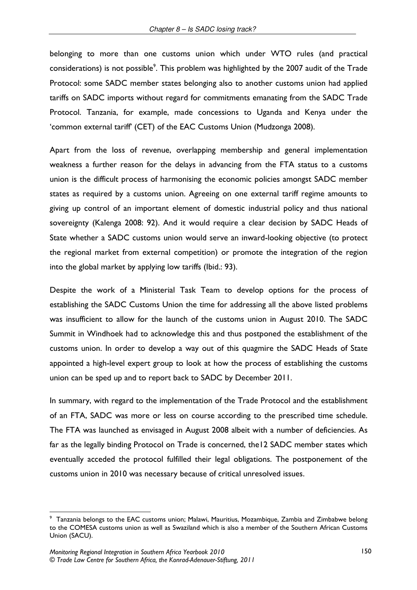belonging to more than one customs union which under WTO rules (and practical considerations) is not possible<sup>9</sup>. This problem was highlighted by the 2007 audit of the Trade Protocol: some SADC member states belonging also to another customs union had applied tariffs on SADC imports without regard for commitments emanating from the SADC Trade Protocol. Tanzania, for example, made concessions to Uganda and Kenya under the 'common external tariff' (CET) of the EAC Customs Union (Mudzonga 2008).

Apart from the loss of revenue, overlapping membership and general implementation weakness a further reason for the delays in advancing from the FTA status to a customs union is the difficult process of harmonising the economic policies amongst SADC member states as required by a customs union. Agreeing on one external tariff regime amounts to giving up control of an important element of domestic industrial policy and thus national sovereignty (Kalenga 2008: 92). And it would require a clear decision by SADC Heads of State whether a SADC customs union would serve an inward-looking objective (to protect the regional market from external competition) or promote the integration of the region into the global market by applying low tariffs (Ibid.: 93).

Despite the work of a Ministerial Task Team to develop options for the process of establishing the SADC Customs Union the time for addressing all the above listed problems was insufficient to allow for the launch of the customs union in August 2010. The SADC Summit in Windhoek had to acknowledge this and thus postponed the establishment of the customs union. In order to develop a way out of this quagmire the SADC Heads of State appointed a high-level expert group to look at how the process of establishing the customs union can be sped up and to report back to SADC by December 2011.

In summary, with regard to the implementation of the Trade Protocol and the establishment of an FTA, SADC was more or less on course according to the prescribed time schedule. The FTA was launched as envisaged in August 2008 albeit with a number of deficiencies. As far as the legally binding Protocol on Trade is concerned, the I2 SADC member states which eventually acceded the protocol fulfilled their legal obligations. The postponement of the customs union in 2010 was necessary because of critical unresolved issues.

Tanzania belongs to the EAC customs union; Malawi, Mauritius, Mozambique, Zambia and Zimbabwe belong to the COMESA customs union as well as Swaziland which is also a member of the Southern African Customs Union (SACU).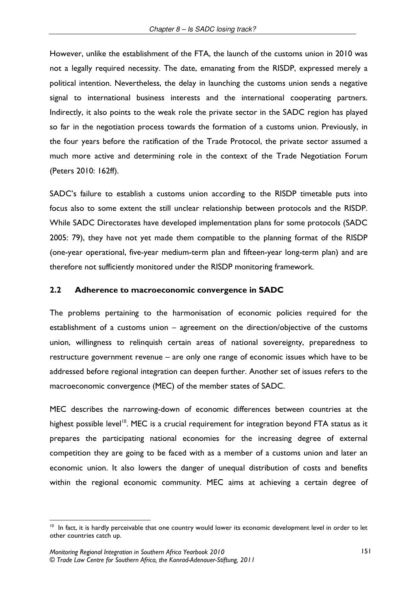However, unlike the establishment of the FTA, the launch of the customs union in 2010 was not a legally required necessity. The date, emanating from the RISDP, expressed merely a political intention. Nevertheless, the delay in launching the customs union sends a negative signal to international business interests and the international cooperating partners. Indirectly, it also points to the weak role the private sector in the SADC region has played so far in the negotiation process towards the formation of a customs union. Previously, in the four years before the ratification of the Trade Protocol, the private sector assumed a much more active and determining role in the context of the Trade Negotiation Forum (Peters 2010: 162ff).

SADC's failure to establish a customs union according to the RISDP timetable puts into focus also to some extent the still unclear relationship between protocols and the RISDP. While SADC Directorates have developed implementation plans for some protocols (SADC 2005: 79), they have not yet made them compatible to the planning format of the RISDP (one-year operational, five-year medium-term plan and fifteen-year long-term plan) and are therefore not sufficiently monitored under the RISDP monitoring framework.

#### $2.2$ Adherence to macroeconomic convergence in SADC

The problems pertaining to the harmonisation of economic policies required for the establishment of a customs union - agreement on the direction/objective of the customs union, willingness to relinquish certain areas of national sovereignty, preparedness to restructure government revenue – are only one range of economic issues which have to be addressed before regional integration can deepen further. Another set of issues refers to the macroeconomic convergence (MEC) of the member states of SADC.

MEC describes the narrowing-down of economic differences between countries at the highest possible level<sup>10</sup>. MEC is a crucial requirement for integration beyond FTA status as it prepares the participating national economies for the increasing degree of external competition they are going to be faced with as a member of a customs union and later an economic union. It also lowers the danger of unequal distribution of costs and benefits within the regional economic community. MEC aims at achieving a certain degree of

<sup>&</sup>lt;sup>10</sup> In fact, it is hardly perceivable that one country would lower its economic development level in order to let other countries catch up.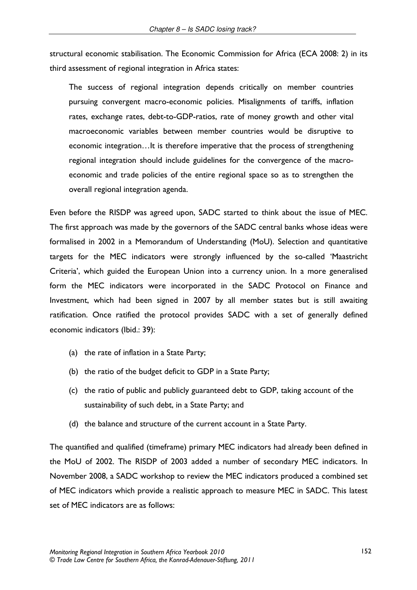structural economic stabilisation. The Economic Commission for Africa (ECA 2008: 2) in its third assessment of regional integration in Africa states:

The success of regional integration depends critically on member countries pursuing convergent macro-economic policies. Misalignments of tariffs, inflation rates, exchange rates, debt-to-GDP-ratios, rate of money growth and other vital macroeconomic variables between member countries would be disruptive to economic integration...It is therefore imperative that the process of strengthening regional integration should include guidelines for the convergence of the macroeconomic and trade policies of the entire regional space so as to strengthen the overall regional integration agenda.

Even before the RISDP was agreed upon, SADC started to think about the issue of MEC. The first approach was made by the governors of the SADC central banks whose ideas were formalised in 2002 in a Memorandum of Understanding (MoU). Selection and quantitative targets for the MEC indicators were strongly influenced by the so-called 'Maastricht Criteria', which guided the European Union into a currency union. In a more generalised form the MEC indicators were incorporated in the SADC Protocol on Finance and Investment, which had been signed in 2007 by all member states but is still awaiting ratification. Once ratified the protocol provides SADC with a set of generally defined economic indicators (Ibid.: 39):

- (a) the rate of inflation in a State Party;
- (b) the ratio of the budget deficit to GDP in a State Party;
- (c) the ratio of public and publicly guaranteed debt to GDP, taking account of the sustainability of such debt, in a State Party; and
- (d) the balance and structure of the current account in a State Party.

The quantified and qualified (timeframe) primary MEC indicators had already been defined in the MoU of 2002. The RISDP of 2003 added a number of secondary MEC indicators. In November 2008, a SADC workshop to review the MEC indicators produced a combined set of MEC indicators which provide a realistic approach to measure MEC in SADC. This latest set of MEC indicators are as follows: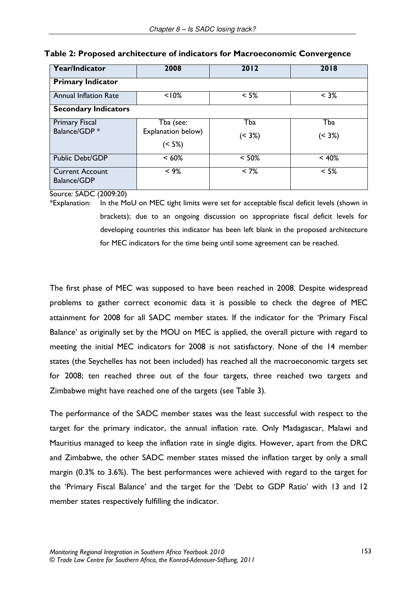| Year/Indicator               | 2008               | 2012       | 2018       |
|------------------------------|--------------------|------------|------------|
| <b>Primary Indicator</b>     |                    |            |            |
| <b>Annual Inflation Rate</b> | < 10%              | $< 5\%$    | $< 3\%$    |
| <b>Secondary Indicators</b>  |                    |            |            |
| <b>Primary Fiscal</b>        | Tba (see:          | Tba        | Tba        |
| Balance/GDP*                 | Explanation below) | $( < 3\%)$ | $( < 3\%)$ |
|                              | (5%)               |            |            |
| Public Debt/GDP              | $< 60\%$           | $< 50\%$   | < 40%      |
| <b>Current Account</b>       | $< 9\%$            | $< 7\%$    | $< 5\%$    |
| <b>Balance/GDP</b>           |                    |            |            |

### Table 2: Proposed architecture of indicators for Macroeconomic Convergence

Source: SADC (2009:20)

In the MoU on MEC tight limits were set for acceptable fiscal deficit levels (shown in \*Explanation: brackets); due to an ongoing discussion on appropriate fiscal deficit levels for developing countries this indicator has been left blank in the proposed architecture for MEC indicators for the time being until some agreement can be reached.

The first phase of MEC was supposed to have been reached in 2008. Despite widespread problems to gather correct economic data it is possible to check the degree of MEC attainment for 2008 for all SADC member states. If the indicator for the 'Primary Fiscal Balance' as originally set by the MOU on MEC is applied, the overall picture with regard to meeting the initial MEC indicators for 2008 is not satisfactory. None of the 14 member states (the Seychelles has not been included) has reached all the macroeconomic targets set for 2008; ten reached three out of the four targets, three reached two targets and Zimbabwe might have reached one of the targets (see Table 3).

The performance of the SADC member states was the least successful with respect to the target for the primary indicator, the annual inflation rate. Only Madagascar, Malawi and Mauritius managed to keep the inflation rate in single digits. However, apart from the DRC and Zimbabwe, the other SADC member states missed the inflation target by only a small margin (0.3% to 3.6%). The best performances were achieved with regard to the target for the 'Primary Fiscal Balance' and the target for the 'Debt to GDP Ratio' with 13 and 12 member states respectively fulfilling the indicator.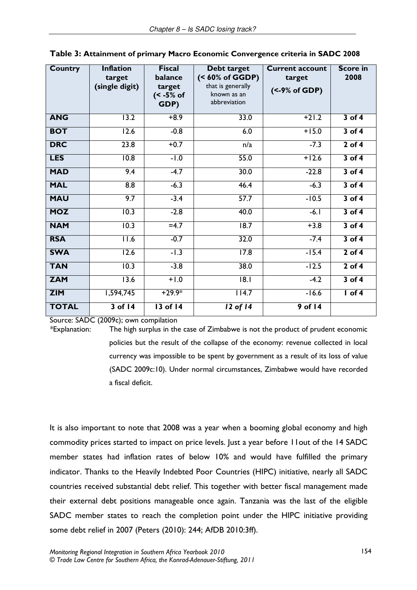| <b>Country</b> | <b>Inflation</b><br>target<br>(single digit) | <b>Fiscal</b><br>balance<br>target<br>(< -5% of<br>GDP) | Debt target<br>(< 60% of GGDP)<br>that is generally<br>known as an<br>abbreviation | <b>Current account</b><br>target<br>$(<$ -9% of GDP) | <b>Score in</b><br>2008 |
|----------------|----------------------------------------------|---------------------------------------------------------|------------------------------------------------------------------------------------|------------------------------------------------------|-------------------------|
| <b>ANG</b>     | 13.2                                         | $+8.9$                                                  | 33.0                                                                               | $+21.2$                                              | $3$ of 4                |
| <b>BOT</b>     | 12.6                                         | $-0.8$                                                  | 6.0                                                                                | $+15.0$                                              | $3$ of 4                |
| <b>DRC</b>     | 23.8                                         | $+0.7$                                                  | n/a                                                                                | $-7.3$                                               | $2$ of 4                |
| <b>LES</b>     | $\overline{10.8}$                            | $-1.0$                                                  | 55.0                                                                               | $+12.6$                                              | $3$ of 4                |
| <b>MAD</b>     | 9.4                                          | $-4.7$                                                  | 30.0                                                                               | $-22.8$                                              | $3$ of 4                |
| <b>MAL</b>     | 8.8                                          | $-6.3$                                                  | 46.4                                                                               | $-6.3$                                               | $3$ of 4                |
| <b>MAU</b>     | 9.7                                          | $-3.4$                                                  | 57.7                                                                               | $-10.5$                                              | $3$ of 4                |
| <b>MOZ</b>     | 10.3                                         | $-2.8$                                                  | 40.0                                                                               | $-6.1$                                               | $3$ of 4                |
| <b>NAM</b>     | 10.3                                         | $=4.7$                                                  | $\overline{18.7}$                                                                  | $+3.8$                                               | $3$ of 4                |
| <b>RSA</b>     | 11.6                                         | $-0.7$                                                  | 32.0                                                                               | $-7.4$                                               | $3$ of 4                |
| <b>SWA</b>     | 12.6                                         | $-1.3$                                                  | 17.8                                                                               | $-15.4$                                              | $2$ of 4                |
| <b>TAN</b>     | 10.3                                         | $-3.8$                                                  | 38.0                                                                               | $-12.5$                                              | $2$ of 4                |
| <b>ZAM</b>     | 13.6                                         | $+1.0$                                                  | 8.1                                                                                | $-4.2$                                               | $3$ of $4$              |
| <b>ZIM</b>     | 1,594,745                                    | $+29.9*$                                                | 114.7                                                                              | $-16.6$                                              | $I$ of 4                |
| <b>TOTAL</b>   | $3$ of 14                                    | $13$ of $14$                                            | $12$ of $14$                                                                       | $9$ of 14                                            |                         |

| Table 3: Attainment of primary Macro Economic Convergence criteria in SADC 2008 |  |  |
|---------------------------------------------------------------------------------|--|--|
|---------------------------------------------------------------------------------|--|--|

Source: SADC (2009c); own compilation

\*Explanation:

The high surplus in the case of Zimbabwe is not the product of prudent economic policies but the result of the collapse of the economy: revenue collected in local currency was impossible to be spent by government as a result of its loss of value (SADC 2009c:10). Under normal circumstances, Zimbabwe would have recorded a fiscal deficit.

It is also important to note that 2008 was a year when a booming global economy and high commodity prices started to impact on price levels. Just a year before I lout of the 14 SADC member states had inflation rates of below 10% and would have fulfilled the primary indicator. Thanks to the Heavily Indebted Poor Countries (HIPC) initiative, nearly all SADC countries received substantial debt relief. This together with better fiscal management made their external debt positions manageable once again. Tanzania was the last of the eligible SADC member states to reach the completion point under the HIPC initiative providing some debt relief in 2007 (Peters (2010): 244; AfDB 2010:3ff).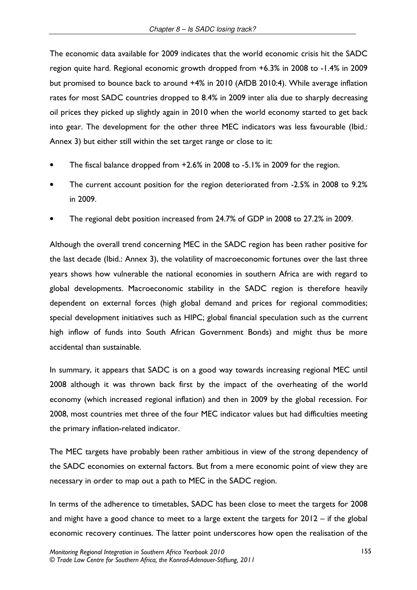The economic data available for 2009 indicates that the world economic crisis hit the SADC region quite hard. Regional economic growth dropped from +6.3% in 2008 to -1.4% in 2009 but promised to bounce back to around +4% in 2010 (AfDB 2010:4). While average inflation rates for most SADC countries dropped to 8.4% in 2009 inter alia due to sharply decreasing oil prices they picked up slightly again in 2010 when the world economy started to get back into gear. The development for the other three MEC indicators was less favourable (Ibid.: Annex 3) but either still within the set target range or close to it:

- The fiscal balance dropped from +2.6% in 2008 to -5.1% in 2009 for the region.
- The current account position for the region deteriorated from -2.5% in 2008 to 9.2% in 2009.
- The regional debt position increased from 24.7% of GDP in 2008 to 27.2% in 2009.

Although the overall trend concerning MEC in the SADC region has been rather positive for the last decade (Ibid.: Annex 3), the volatility of macroeconomic fortunes over the last three years shows how vulnerable the national economies in southern Africa are with regard to global developments. Macroeconomic stability in the SADC region is therefore heavily dependent on external forces (high global demand and prices for regional commodities; special development initiatives such as HIPC; global financial speculation such as the current high inflow of funds into South African Government Bonds) and might thus be more accidental than sustainable.

In summary, it appears that SADC is on a good way towards increasing regional MEC until 2008 although it was thrown back first by the impact of the overheating of the world economy (which increased regional inflation) and then in 2009 by the global recession. For 2008, most countries met three of the four MEC indicator values but had difficulties meeting the primary inflation-related indicator.

The MEC targets have probably been rather ambitious in view of the strong dependency of the SADC economies on external factors. But from a mere economic point of view they are necessary in order to map out a path to MEC in the SADC region.

In terms of the adherence to timetables, SADC has been close to meet the targets for 2008 and might have a good chance to meet to a large extent the targets for  $2012 -$  if the global economic recovery continues. The latter point underscores how open the realisation of the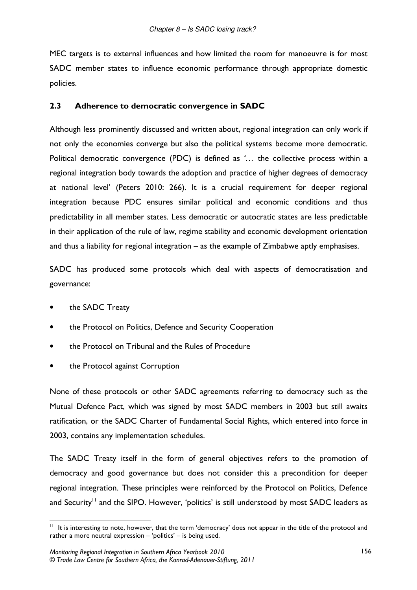MEC targets is to external influences and how limited the room for manoeuvre is for most SADC member states to influence economic performance through appropriate domestic policies.

#### $2.3$ Adherence to democratic convergence in SADC

Although less prominently discussed and written about, regional integration can only work if not only the economies converge but also the political systems become more democratic. Political democratic convergence (PDC) is defined as '... the collective process within a regional integration body towards the adoption and practice of higher degrees of democracy at national level' (Peters 2010: 266). It is a crucial requirement for deeper regional integration because PDC ensures similar political and economic conditions and thus predictability in all member states. Less democratic or autocratic states are less predictable in their application of the rule of law, regime stability and economic development orientation and thus a liability for regional integration – as the example of Zimbabwe aptly emphasises.

SADC has produced some protocols which deal with aspects of democratisation and governance:

- the SADC Treaty
- the Protocol on Politics, Defence and Security Cooperation
- the Protocol on Tribunal and the Rules of Procedure
- the Protocol against Corruption

None of these protocols or other SADC agreements referring to democracy such as the Mutual Defence Pact, which was signed by most SADC members in 2003 but still awaits ratification, or the SADC Charter of Fundamental Social Rights, which entered into force in 2003, contains any implementation schedules.

The SADC Treaty itself in the form of general objectives refers to the promotion of democracy and good governance but does not consider this a precondition for deeper regional integration. These principles were reinforced by the Protocol on Politics, Defence and Security<sup>11</sup> and the SIPO. However, 'politics' is still understood by most SADC leaders as

<sup>&</sup>lt;sup>11</sup> It is interesting to note, however, that the term 'democracy' does not appear in the title of the protocol and rather a more neutral expression - 'politics' - is being used.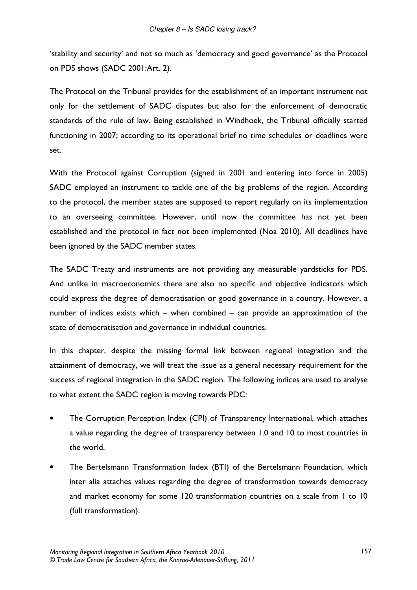'stability and security' and not so much as 'democracy and good governance' as the Protocol on PDS shows (SADC 2001:Art. 2).

The Protocol on the Tribunal provides for the establishment of an important instrument not only for the settlement of SADC disputes but also for the enforcement of democratic standards of the rule of law. Being established in Windhoek, the Tribunal officially started functioning in 2007; according to its operational brief no time schedules or deadlines were set.

With the Protocol against Corruption (signed in 2001 and entering into force in 2005) SADC employed an instrument to tackle one of the big problems of the region. According to the protocol, the member states are supposed to report regularly on its implementation to an overseeing committee. However, until now the committee has not yet been established and the protocol in fact not been implemented (Noa 2010). All deadlines have been ignored by the SADC member states.

The SADC Treaty and instruments are not providing any measurable yardsticks for PDS. And unlike in macroeconomics there are also no specific and objective indicators which could express the degree of democratisation or good governance in a country. However, a number of indices exists which - when combined - can provide an approximation of the state of democratisation and governance in individual countries.

In this chapter, despite the missing formal link between regional integration and the attainment of democracy, we will treat the issue as a general necessary requirement for the success of regional integration in the SADC region. The following indices are used to analyse to what extent the SADC region is moving towards PDC:

- The Corruption Perception Index (CPI) of Transparency International, which attaches a value regarding the degree of transparency between 1.0 and 10 to most countries in the world.
- The Bertelsmann Transformation Index (BTI) of the Bertelsmann Foundation, which inter alia attaches values regarding the degree of transformation towards democracy and market economy for some 120 transformation countries on a scale from 1 to 10 (full transformation).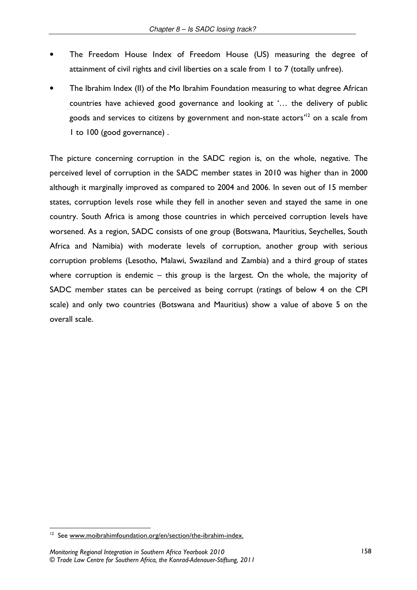- The Freedom House Index of Freedom House (US) measuring the degree of attainment of civil rights and civil liberties on a scale from 1 to 7 (totally unfree).
- The Ibrahim Index (II) of the Mo Ibrahim Foundation measuring to what degree African countries have achieved good governance and looking at '... the delivery of public goods and services to citizens by government and non-state actors<sup>12</sup> on a scale from I to 100 (good governance).

The picture concerning corruption in the SADC region is, on the whole, negative. The perceived level of corruption in the SADC member states in 2010 was higher than in 2000 although it marginally improved as compared to 2004 and 2006. In seven out of 15 member states, corruption levels rose while they fell in another seven and stayed the same in one country. South Africa is among those countries in which perceived corruption levels have worsened. As a region, SADC consists of one group (Botswana, Mauritius, Seychelles, South Africa and Namibia) with moderate levels of corruption, another group with serious corruption problems (Lesotho, Malawi, Swaziland and Zambia) and a third group of states where corruption is endemic  $-$  this group is the largest. On the whole, the majority of SADC member states can be perceived as being corrupt (ratings of below 4 on the CPI scale) and only two countries (Botswana and Mauritius) show a value of above 5 on the overall scale.

<sup>&</sup>lt;sup>12</sup> See www.moibrahimfoundation.org/en/section/the-ibrahim-index.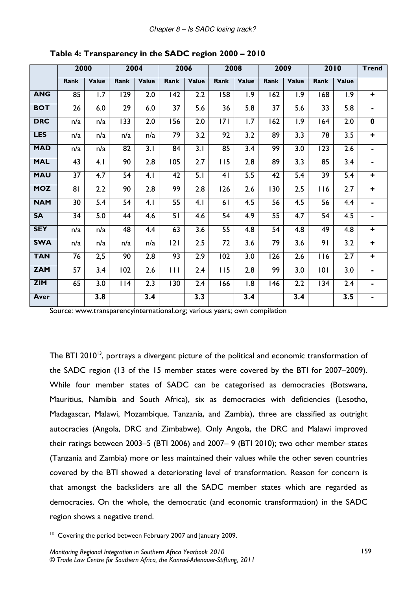|            | 2000            |              |                 | 2004             |                 | 2006             |                  | 2008             |                 | 2009             |                  | 2010             | <b>Trend</b> |
|------------|-----------------|--------------|-----------------|------------------|-----------------|------------------|------------------|------------------|-----------------|------------------|------------------|------------------|--------------|
|            | Rank            | <b>Value</b> | <b>Rank</b>     | Value            | <b>Rank</b>     | Value            | <b>Rank</b>      | Value            | <b>Rank</b>     | Value            | <b>Rank</b>      | Value            |              |
| <b>ANG</b> | 85              | 1.7          | 129             | 2.0              | 142             | 2.2              | 158              | 1.9              | 162             | 1.9              | 168              | 1.9              | $\ddot{}$    |
| <b>BOT</b> | 26              | 6.0          | $\overline{29}$ | 6.0              | $\overline{37}$ | $\overline{5.6}$ | $\overline{36}$  | $\overline{5.8}$ | $\overline{37}$ | 5.6              | $\overline{33}$  | 5.8              | ٠            |
| <b>DRC</b> | n/a             | n/a          | 133             | 2.0              | 156             | $\overline{2.0}$ | $\overline{171}$ | 1.7              | 162             | $\overline{1.9}$ | 164              | 2.0              | $\mathbf 0$  |
| <b>LES</b> | n/a             | n/a          | n/a             | n/a              | $\overline{79}$ | $\overline{3.2}$ | $\overline{92}$  | $\overline{3.2}$ | $\overline{89}$ | 3.3              | $\overline{78}$  | $\overline{3.5}$ | $\ddot{}$    |
| <b>MAD</b> | n/a             | n/a          | $\overline{82}$ | $\overline{3.1}$ | $\overline{84}$ | $\overline{3.1}$ | 85               | $\overline{3.4}$ | 99              | $\overline{3.0}$ | $\overline{123}$ | $\overline{2.6}$ |              |
| <b>MAL</b> | $\overline{43}$ | 4.1          | 90              | $\overline{2.8}$ | 105             | $\overline{2.7}$ | $\overline{115}$ | $\overline{2.8}$ | 89              | 3.3              | 85               | $\overline{3.4}$ |              |
| <b>MAU</b> | $\overline{37}$ | 4.7          | 54              | 4.1              | 42              | 5.1              | 4 <sub>1</sub>   | 5.5              | $\overline{42}$ | 5.4              | $\overline{39}$  | 5.4              | ÷            |
| <b>MOZ</b> | $\overline{8}$  | 2.2          | 90              | 2.8              | 99              | $\overline{2.8}$ | 126              | $\overline{2.6}$ | 130             | 2.5              | 116              | $\overline{2.7}$ | $\ddot{}$    |
| <b>NAM</b> | 30              | 5.4          | 54              | 4.1              | 55              | 4.1              | 61               | 4.5              | 56              | 4.5              | 56               | 4.4              | ٠            |
| <b>SA</b>  | 34              | 5.0          | 44              | 4.6              | 51              | 4.6              | 54               | 4.9              | $\overline{55}$ | 4.7              | 54               | 4.5              | ۰.           |
| <b>SEY</b> | n/a             | n/a          | 48              | 4.4              | 63              | $\overline{3.6}$ | $\overline{55}$  | $\overline{4.8}$ | $\overline{54}$ | 4.8              | 49               | $\overline{4.8}$ | ÷            |
| <b>SWA</b> | n/a             | n/a          | n/a             | n/a              | 2               | $\overline{2.5}$ | $\overline{72}$  | $\overline{3.6}$ | 79              | $\overline{3.6}$ | 91               | $\overline{3.2}$ | $\ddot{}$    |
| <b>TAN</b> | 76              | 2,5          | 90              | 2.8              | 93              | 2.9              | 102              | 3.0              | 126             | 2.6              | 116              | 2.7              | $\ddot{}$    |
| <b>ZAM</b> | 57              | 3.4          | 102             | 2.6              | 111             | 2.4              | 115              | 2.8              | 99              | 3.0              | 101              | 3.0              | ٠            |
| <b>ZIM</b> | 65              | 3.0          | 114             | 2.3              | 130             | $\overline{2.4}$ | 166              | 8.1              | 146             | 2.2              | 134              | 2.4              | ٠            |
| Aver       |                 | 3.8          |                 | 3.4              |                 | 3.3              |                  | $\overline{3.4}$ |                 | 3.4              |                  | 3.5              | ۰            |

Table 4: Transparency in the SADC region 2000 - 2010

Source: www.transparencyinternational.org; various years; own compilation

The BTI 2010<sup>13</sup>, portrays a divergent picture of the political and economic transformation of the SADC region (13 of the 15 member states were covered by the BTI for 2007–2009). While four member states of SADC can be categorised as democracies (Botswana, Mauritius, Namibia and South Africa), six as democracies with deficiencies (Lesotho, Madagascar, Malawi, Mozambique, Tanzania, and Zambia), three are classified as outright autocracies (Angola, DRC and Zimbabwe). Only Angola, the DRC and Malawi improved their ratings between 2003-5 (BTI 2006) and 2007-9 (BTI 2010); two other member states (Tanzania and Zambia) more or less maintained their values while the other seven countries covered by the BTI showed a deteriorating level of transformation. Reason for concern is that amongst the backsliders are all the SADC member states which are regarded as democracies. On the whole, the democratic (and economic transformation) in the SADC region shows a negative trend.

<sup>&</sup>lt;sup>13</sup> Covering the period between February 2007 and January 2009.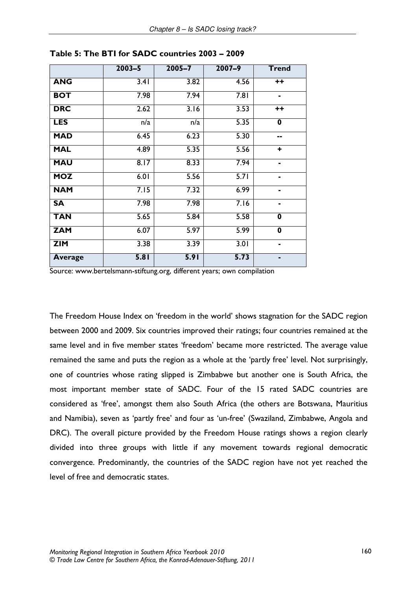|                | $2003 - 5$ | $2005 - 7$ | $2007 - 9$        | <b>Trend</b>            |
|----------------|------------|------------|-------------------|-------------------------|
| <b>ANG</b>     | 3.41       | 3.82       | 4.56              | $++$                    |
| <b>BOT</b>     | 7.98       | 7.94       | $\overline{7.81}$ | $\blacksquare$          |
| <b>DRC</b>     | 2.62       | 3.16       | 3.53              | $++$                    |
| <b>LES</b>     | n/a        | n/a        | 5.35              | $\mathbf 0$             |
| <b>MAD</b>     | 6.45       | 6.23       | 5.30              | --                      |
| <b>MAL</b>     | 4.89       | 5.35       | 5.56              | ٠                       |
| <b>MAU</b>     | 8.17       | 8.33       | 7.94              | ۰                       |
| <b>MOZ</b>     | 6.01       | 5.56       | 5.71              | ۰                       |
| <b>NAM</b>     | 7.15       | 7.32       | 6.99              | ۰                       |
| <b>SA</b>      | 7.98       | 7.98       | 7.16              | ۰                       |
| <b>TAN</b>     | 5.65       | 5.84       | 5.58              | $\mathbf 0$             |
| <b>ZAM</b>     | 6.07       | 5.97       | 5.99              | $\overline{\mathbf{0}}$ |
| <b>ZIM</b>     | 3.38       | 3.39       | 3.01              | ۰                       |
| <b>Average</b> | 5.81       | 5.91       | 5.73              | $\blacksquare$          |

Table 5: The BTI for SADC countries 2003 - 2009

Source: www.bertelsmann-stiftung.org, different years; own compilation

The Freedom House Index on 'freedom in the world' shows stagnation for the SADC region between 2000 and 2009. Six countries improved their ratings; four countries remained at the same level and in five member states 'freedom' became more restricted. The average value remained the same and puts the region as a whole at the 'partly free' level. Not surprisingly, one of countries whose rating slipped is Zimbabwe but another one is South Africa, the most important member state of SADC. Four of the 15 rated SADC countries are considered as 'free', amongst them also South Africa (the others are Botswana, Mauritius and Namibia), seven as 'partly free' and four as 'un-free' (Swaziland, Zimbabwe, Angola and DRC). The overall picture provided by the Freedom House ratings shows a region clearly divided into three groups with little if any movement towards regional democratic convergence. Predominantly, the countries of the SADC region have not yet reached the level of free and democratic states.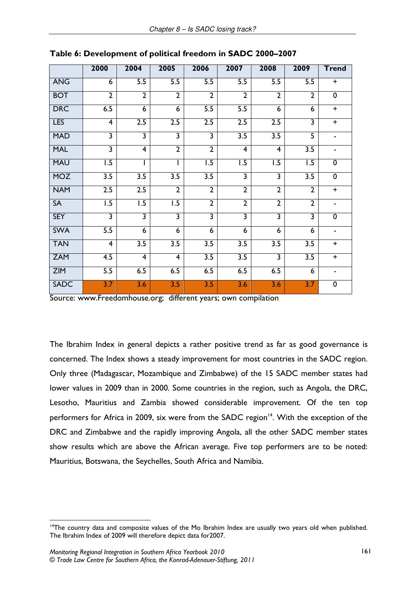|             | 2000                    | 2004                    | 2005                    | 2006                    | 2007                    | 2008                    | 2009                    | <b>Trend</b>   |
|-------------|-------------------------|-------------------------|-------------------------|-------------------------|-------------------------|-------------------------|-------------------------|----------------|
| <b>ANG</b>  | 6                       | $\overline{5.5}$        | $\overline{5.5}$        | 5.5                     | 5.5                     | 5.5                     | 5.5                     | $\ddot{}$      |
| <b>BOT</b>  | $\overline{2}$          | $\overline{2}$          | $\overline{2}$          | $\overline{2}$          | $\overline{2}$          | $\overline{2}$          | $\overline{2}$          | $\overline{0}$ |
| <b>DRC</b>  | 6.5                     | $\overline{6}$          | $\overline{6}$          | $\overline{5.5}$        | $\overline{5.5}$        | 6                       | 6                       | $\ddot{}$      |
| <b>LES</b>  | $\overline{4}$          | 2.5                     | 2.5                     | 2.5                     | 2.5                     | 2.5                     | $\overline{\mathbf{3}}$ | $\ddot{}$      |
| <b>MAD</b>  | $\overline{\mathbf{3}}$ | $\overline{\mathbf{3}}$ | $\overline{\mathbf{3}}$ | $\overline{\mathbf{3}}$ | $\overline{3.5}$        | 3.5                     | $\overline{5}$          | $\blacksquare$ |
| <b>MAL</b>  | $\overline{\mathbf{3}}$ | $\overline{4}$          | $\overline{2}$          | $\overline{2}$          | $\overline{4}$          | $\overline{4}$          | $\overline{3.5}$        | $\blacksquare$ |
| <b>MAU</b>  | $\overline{1.5}$        |                         |                         | $\overline{1.5}$        | $\overline{1.5}$        | $\overline{1.5}$        | $\overline{1.5}$        | $\mathbf 0$    |
| <b>MOZ</b>  | 3.5                     | 3.5                     | 3.5                     | $\overline{3.5}$        | $\overline{\mathbf{3}}$ | $\overline{\mathbf{3}}$ | 3.5                     | $\overline{0}$ |
| <b>NAM</b>  | 2.5                     | 2.5                     | $\overline{2}$          | $\overline{2}$          | $\overline{2}$          | $\overline{2}$          | $\overline{2}$          | $\ddot{}$      |
| <b>SA</b>   | $\overline{1.5}$        | $\overline{1.5}$        | $\overline{1.5}$        | $\overline{2}$          | $\overline{2}$          | $\overline{2}$          | $\overline{2}$          | $\blacksquare$ |
| <b>SEY</b>  | $\overline{\mathbf{3}}$ | $\overline{3}$          | $\overline{3}$          | $\overline{\mathbf{3}}$ | $\overline{\mathbf{3}}$ | $\overline{\mathbf{3}}$ | $\overline{\mathbf{3}}$ | $\overline{0}$ |
| <b>SWA</b>  | 5.5                     | 6                       | 6                       | 6                       | 6                       | 6                       | 6                       | $\blacksquare$ |
| <b>TAN</b>  | $\overline{4}$          | $\overline{3.5}$        | $\overline{3.5}$        | $\overline{3.5}$        | $\overline{3.5}$        | 3.5                     | $\overline{3.5}$        | $\ddot{}$      |
| <b>ZAM</b>  | $\overline{4.5}$        | $\overline{4}$          | $\overline{\mathbf{4}}$ | $\overline{3.5}$        | $\overline{3.5}$        | $\overline{\mathbf{3}}$ | $\overline{3.5}$        | $\ddot{}$      |
| <b>ZIM</b>  | 5.5                     | 6.5                     | 6.5                     | 6.5                     | 6.5                     | 6.5                     | 6                       | $\blacksquare$ |
| <b>SADC</b> | 3.7                     | 3.6                     | 3.5                     | 3.5                     | 3.6                     | 3.6                     | 3.7                     | $\overline{0}$ |

Source: www.Freedomhouse.org; different years; own compilation

The Ibrahim Index in general depicts a rather positive trend as far as good governance is concerned. The Index shows a steady improvement for most countries in the SADC region. Only three (Madagascar, Mozambique and Zimbabwe) of the 15 SADC member states had lower values in 2009 than in 2000. Some countries in the region, such as Angola, the DRC, Lesotho, Mauritius and Zambia showed considerable improvement. Of the ten top performers for Africa in 2009, six were from the SADC region<sup>14</sup>. With the exception of the DRC and Zimbabwe and the rapidly improving Angola, all the other SADC member states show results which are above the African average. Five top performers are to be noted: Mauritius, Botswana, the Seychelles, South Africa and Namibia.

<sup>&</sup>lt;sup>14</sup>The country data and composite values of the Mo Ibrahim Index are usually two years old when published. The Ibrahim Index of 2009 will therefore depict data for 2007.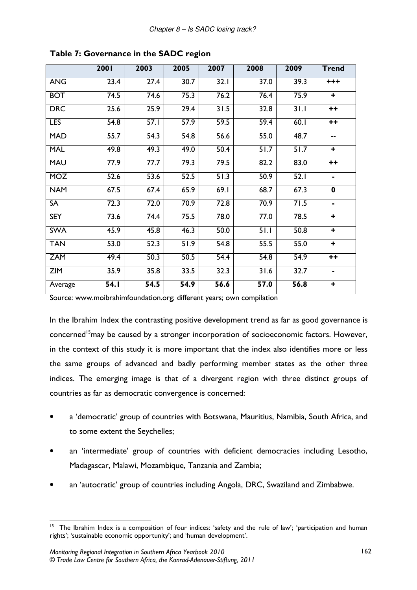|            | 2001              | 2003              | 2005 | 2007 | 2008              | 2009              | <b>Trend</b>         |
|------------|-------------------|-------------------|------|------|-------------------|-------------------|----------------------|
| <b>ANG</b> | 23.4              | 27.4              | 30.7 | 32.1 | 37.0              | 39.3              | $+ + +$              |
| <b>BOT</b> | 74.5              | 74.6              | 75.3 | 76.2 | 76.4              | 75.9              | $\ddot{}$            |
| <b>DRC</b> | 25.6              | 25.9              | 29.4 | 31.5 | 32.8              | 31.1              | $++$                 |
| <b>LES</b> | 54.8              | 57.1              | 57.9 | 59.5 | 59.4              | 60.1              | $++$                 |
| <b>MAD</b> | 55.7              | 54.3              | 54.8 | 56.6 | 55.0              | 48.7              | --                   |
| <b>MAL</b> | 49.8              | 49.3              | 49.0 | 50.4 | $\overline{51.7}$ | $\overline{51.7}$ | $\ddot{\phantom{1}}$ |
| <b>MAU</b> | 77.9              | 77.7              | 79.3 | 79.5 | 82.2              | 83.0              | $++$                 |
| <b>MOZ</b> | 52.6              | 53.6              | 52.5 | 51.3 | 50.9              | 52.1              | $\blacksquare$       |
| <b>NAM</b> | 67.5              | 67.4              | 65.9 | 69.1 | 68.7              | 67.3              | $\mathbf 0$          |
| <b>SA</b>  | 72.3              | 72.0              | 70.9 | 72.8 | 70.9              | 71.5              | ٠                    |
| <b>SEY</b> | 73.6              | 74.4              | 75.5 | 78.0 | 77.0              | 78.5              | $\ddot{}$            |
| <b>SWA</b> | 45.9              | 45.8              | 46.3 | 50.0 | 51.1              | 50.8              | $\ddot{}$            |
| <b>TAN</b> | 53.0              | 52.3              | 51.9 | 54.8 | 55.5              | 55.0              | ÷.                   |
| <b>ZAM</b> | 49.4              | 50.3              | 50.5 | 54.4 | 54.8              | 54.9              | $++$                 |
| <b>ZIM</b> | 35.9              | 35.8              | 33.5 | 32.3 | 31.6              | 32.7              | $\blacksquare$       |
| Average    | $\overline{54.1}$ | $\overline{54.5}$ | 54.9 | 56.6 | 57.0              | $\overline{56.8}$ | ÷                    |

Table 7: Governance in the SADC region

Source: www.moibrahimfoundation.org; different years; own compilation

In the Ibrahim Index the contrasting positive development trend as far as good governance is concerned<sup>15</sup> may be caused by a stronger incorporation of socioeconomic factors. However, in the context of this study it is more important that the index also identifies more or less the same groups of advanced and badly performing member states as the other three indices. The emerging image is that of a divergent region with three distinct groups of countries as far as democratic convergence is concerned:

- a 'democratic' group of countries with Botswana, Mauritius, Namibia, South Africa, and to some extent the Seychelles;
- an 'intermediate' group of countries with deficient democracies including Lesotho, Madagascar, Malawi, Mozambique, Tanzania and Zambia;
- an 'autocratic' group of countries including Angola, DRC, Swaziland and Zimbabwe.

<sup>&</sup>lt;sup>15</sup> The Ibrahim Index is a composition of four indices: 'safety and the rule of law'; 'participation and human rights'; 'sustainable economic opportunity'; and 'human development'.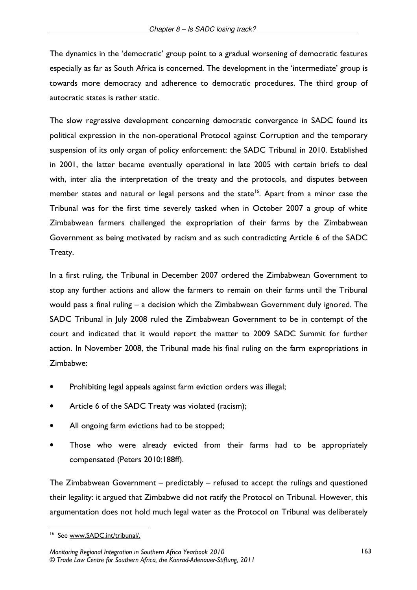The dynamics in the 'democratic' group point to a gradual worsening of democratic features especially as far as South Africa is concerned. The development in the 'intermediate' group is towards more democracy and adherence to democratic procedures. The third group of autocratic states is rather static.

The slow regressive development concerning democratic convergence in SADC found its political expression in the non-operational Protocol against Corruption and the temporary suspension of its only organ of policy enforcement: the SADC Tribunal in 2010. Established in 2001, the latter became eventually operational in late 2005 with certain briefs to deal with, inter alia the interpretation of the treaty and the protocols, and disputes between member states and natural or legal persons and the state<sup>16</sup>. Apart from a minor case the Tribunal was for the first time severely tasked when in October 2007 a group of white Zimbabwean farmers challenged the expropriation of their farms by the Zimbabwean Government as being motivated by racism and as such contradicting Article 6 of the SADC Treaty.

In a first ruling, the Tribunal in December 2007 ordered the Zimbabwean Government to stop any further actions and allow the farmers to remain on their farms until the Tribunal would pass a final ruling – a decision which the Zimbabwean Government duly ignored. The SADC Tribunal in July 2008 ruled the Zimbabwean Government to be in contempt of the court and indicated that it would report the matter to 2009 SADC Summit for further action. In November 2008, the Tribunal made his final ruling on the farm expropriations in Zimbabwe:

- Prohibiting legal appeals against farm eviction orders was illegal;
- Article 6 of the SADC Treaty was violated (racism);
- All ongoing farm evictions had to be stopped;
- Those who were already evicted from their farms had to be appropriately compensated (Peters 2010:188ff).

The Zimbabwean Government  $-$  predictably  $-$  refused to accept the rulings and questioned their legality: it argued that Zimbabwe did not ratify the Protocol on Tribunal. However, this argumentation does not hold much legal water as the Protocol on Tribunal was deliberately

<sup>&</sup>lt;sup>16</sup> See www.SADC.int/tribunal/.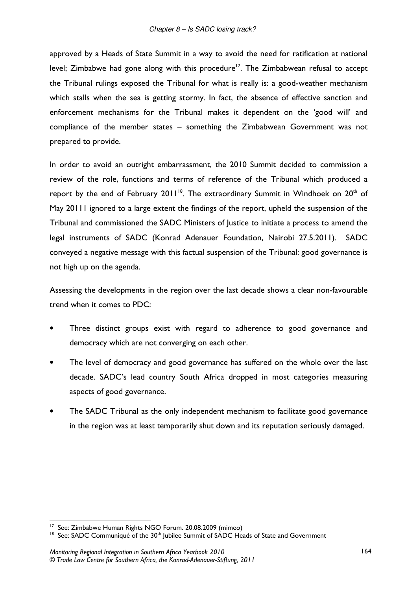approved by a Heads of State Summit in a way to avoid the need for ratification at national level; Zimbabwe had gone along with this procedure<sup>17</sup>. The Zimbabwean refusal to accept the Tribunal rulings exposed the Tribunal for what is really is: a good-weather mechanism which stalls when the sea is getting stormy. In fact, the absence of effective sanction and enforcement mechanisms for the Tribunal makes it dependent on the 'good will' and compliance of the member states - something the Zimbabwean Government was not prepared to provide.

In order to avoid an outright embarrassment, the 2010 Summit decided to commission a review of the role, functions and terms of reference of the Tribunal which produced a report by the end of February 2011<sup>18</sup>. The extraordinary Summit in Windhoek on 20<sup>th</sup> of May 20111 ignored to a large extent the findings of the report, upheld the suspension of the Tribunal and commissioned the SADC Ministers of Justice to initiate a process to amend the legal instruments of SADC (Konrad Adenauer Foundation, Nairobi 27.5.2011). SADC conveyed a negative message with this factual suspension of the Tribunal: good governance is not high up on the agenda.

Assessing the developments in the region over the last decade shows a clear non-favourable trend when it comes to PDC:

- Three distinct groups exist with regard to adherence to good governance and democracy which are not converging on each other.
- The level of democracy and good governance has suffered on the whole over the last decade. SADC's lead country South Africa dropped in most categories measuring aspects of good governance.
- The SADC Tribunal as the only independent mechanism to facilitate good governance in the region was at least temporarily shut down and its reputation seriously damaged.

<sup>&</sup>lt;sup>17</sup> See: Zimbabwe Human Rights NGO Forum. 20.08.2009 (mimeo)

<sup>&</sup>lt;sup>18</sup> See: SADC Communiqué of the 30<sup>th</sup> Jubilee Summit of SADC Heads of State and Government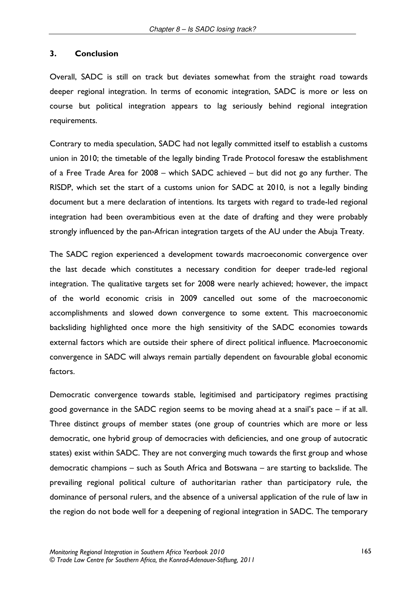#### $3.$ **Conclusion**

Overall, SADC is still on track but deviates somewhat from the straight road towards deeper regional integration. In terms of economic integration, SADC is more or less on course but political integration appears to lag seriously behind regional integration requirements.

Contrary to media speculation, SADC had not legally committed itself to establish a customs union in 2010; the timetable of the legally binding Trade Protocol foresaw the establishment of a Free Trade Area for 2008 - which SADC achieved - but did not go any further. The RISDP, which set the start of a customs union for SADC at 2010, is not a legally binding document but a mere declaration of intentions. Its targets with regard to trade-led regional integration had been overambitious even at the date of drafting and they were probably strongly influenced by the pan-African integration targets of the AU under the Abuja Treaty.

The SADC region experienced a development towards macroeconomic convergence over the last decade which constitutes a necessary condition for deeper trade-led regional integration. The qualitative targets set for 2008 were nearly achieved; however, the impact of the world economic crisis in 2009 cancelled out some of the macroeconomic accomplishments and slowed down convergence to some extent. This macroeconomic backsliding highlighted once more the high sensitivity of the SADC economies towards external factors which are outside their sphere of direct political influence. Macroeconomic convergence in SADC will always remain partially dependent on favourable global economic factors.

Democratic convergence towards stable, legitimised and participatory regimes practising good governance in the SADC region seems to be moving ahead at a snail's pace  $-$  if at all. Three distinct groups of member states (one group of countries which are more or less democratic, one hybrid group of democracies with deficiencies, and one group of autocratic states) exist within SADC. They are not converging much towards the first group and whose democratic champions – such as South Africa and Botswana – are starting to backslide. The prevailing regional political culture of authoritarian rather than participatory rule, the dominance of personal rulers, and the absence of a universal application of the rule of law in the region do not bode well for a deepening of regional integration in SADC. The temporary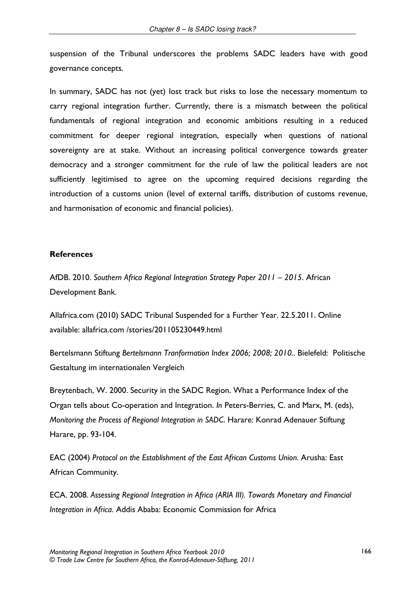suspension of the Tribunal underscores the problems SADC leaders have with good governance concepts.

In summary, SADC has not (yet) lost track but risks to lose the necessary momentum to carry regional integration further. Currently, there is a mismatch between the political fundamentals of regional integration and economic ambitions resulting in a reduced commitment for deeper regional integration, especially when questions of national sovereignty are at stake. Without an increasing political convergence towards greater democracy and a stronger commitment for the rule of law the political leaders are not sufficiently legitimised to agree on the upcoming required decisions regarding the introduction of a customs union (level of external tariffs, distribution of customs revenue, and harmonisation of economic and financial policies).

### **References**

AfDB. 2010. Southern Africa Regional Integration Strategy Paper 2011 - 2015. African Development Bank.

Allafrica.com (2010) SADC Tribunal Suspended for a Further Year. 22.5.2011. Online available: allafrica.com /stories/201105230449.html

Bertelsmann Stiftung Bertelsmann Tranformation Index 2006; 2008; 2010.. Bielefeld: Politische Gestaltung im internationalen Vergleich

Breytenbach, W. 2000. Security in the SADC Region. What a Performance Index of the Organ tells about Co-operation and Integration. In Peters-Berries, C. and Marx, M. (eds), Monitoring the Process of Regional Integration in SADC. Harare: Konrad Adenauer Stiftung Harare, pp. 93-104.

EAC (2004) Protocol on the Establishment of the East African Customs Union. Arusha: East African Community.

ECA. 2008. Assessing Regional Integration in Africa (ARIA III). Towards Monetary and Financial Integration in Africa. Addis Ababa: Economic Commission for Africa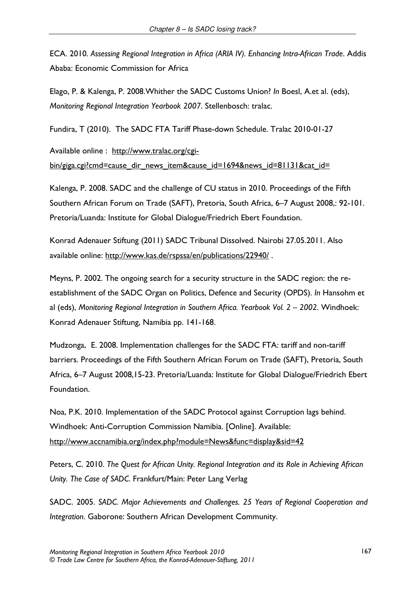ECA. 2010. Assessing Regional Integration in Africa (ARIA IV). Enhancing Intra-African Trade. Addis Ababa: Economic Commission for Africa

Elago, P. & Kalenga, P. 2008. Whither the SADC Customs Union? In Boesl, A.et al. (eds), Monitoring Regional Integration Yearbook 2007. Stellenbosch: tralac.

Fundira, T (2010). The SADC FTA Tariff Phase-down Schedule. Tralac 2010-01-27

Available online : http://www.tralac.org/cgibin/giga.cgi?cmd=cause dir news item&cause id=1694&news id=81131&cat id=

Kalenga, P. 2008. SADC and the challenge of CU status in 2010. Proceedings of the Fifth Southern African Forum on Trade (SAFT), Pretoria, South Africa, 6-7 August 2008,: 92-101. Pretoria/Luanda: Institute for Global Dialogue/Friedrich Ebert Foundation.

Konrad Adenauer Stiftung (2011) SADC Tribunal Dissolved. Nairobi 27.05.2011. Also available online: http://www.kas.de/rspssa/en/publications/22940/.

Meyns, P. 2002. The ongoing search for a security structure in the SADC region: the reestablishment of the SADC Organ on Politics, Defence and Security (OPDS). In Hansohm et al (eds), Monitoring Regional Integration in Southern Africa. Yearbook Vol. 2 - 2002. Windhoek: Konrad Adenauer Stiftung, Namibia pp. 141-168.

Mudzonga, E. 2008. Implementation challenges for the SADC FTA: tariff and non-tariff barriers. Proceedings of the Fifth Southern African Forum on Trade (SAFT), Pretoria, South Africa, 6-7 August 2008, 15-23. Pretoria/Luanda: Institute for Global Dialogue/Friedrich Ebert Foundation.

Noa, P.K. 2010. Implementation of the SADC Protocol against Corruption lags behind. Windhoek: Anti-Corruption Commission Namibia. [Online]. Available: http://www.accnamibia.org/index.php?module=News&func=display&sid=42

Peters, C. 2010. The Quest for African Unity. Regional Integration and its Role in Achieving African Unity. The Case of SADC. Frankfurt/Main: Peter Lang Verlag

SADC. 2005. SADC. Major Achievements and Challenges. 25 Years of Regional Cooperation and Integration. Gaborone: Southern African Development Community.